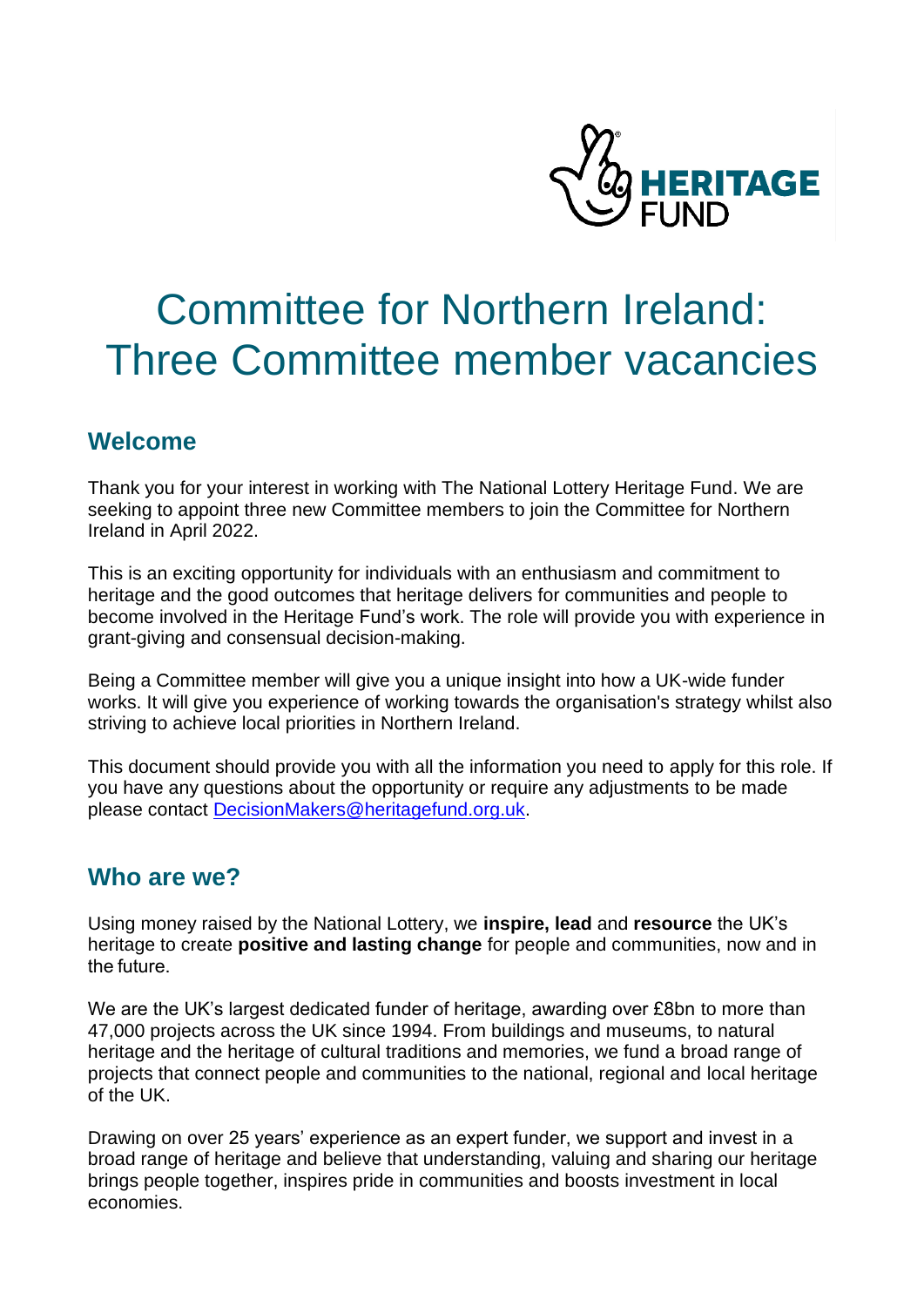

# Committee for Northern Ireland: Three Committee member vacancies

# **Welcome**

Thank you for your interest in working with The National Lottery Heritage Fund. We are seeking to appoint three new Committee members to join the Committee for Northern Ireland in April 2022.

This is an exciting opportunity for individuals with an enthusiasm and commitment to heritage and the good outcomes that heritage delivers for communities and people to become involved in the Heritage Fund's work. The role will provide you with experience in grant-giving and consensual decision-making.

Being a Committee member will give you a unique insight into how a UK-wide funder works. It will give you experience of working towards the organisation's strategy whilst also striving to achieve local priorities in Northern Ireland.

This document should provide you with all the information you need to apply for this role. If you have any questions about the opportunity or require any adjustments to be made please contact [DecisionMakers@heritagefund.org.uk.](mailto:DecisionMakers@heritagefund.org.uk)

## **Who are we?**

Using money raised by the National Lottery, we **inspire, lead** and **resource** the UK's heritage to create **positive and lasting change** for people and communities, now and in the future.

We are the UK's largest dedicated funder of heritage, awarding over £8bn to more than 47,000 projects across the UK since 1994. From buildings and museums, to natural heritage and the heritage of cultural traditions and memories, we fund a broad range of projects that connect people and communities to the national, regional and local heritage of the UK.

Drawing on over 25 years' experience as an expert funder, we support and invest in a broad range of heritage and believe that understanding, valuing and sharing our heritage brings people together, inspires pride in communities and boosts investment in local economies.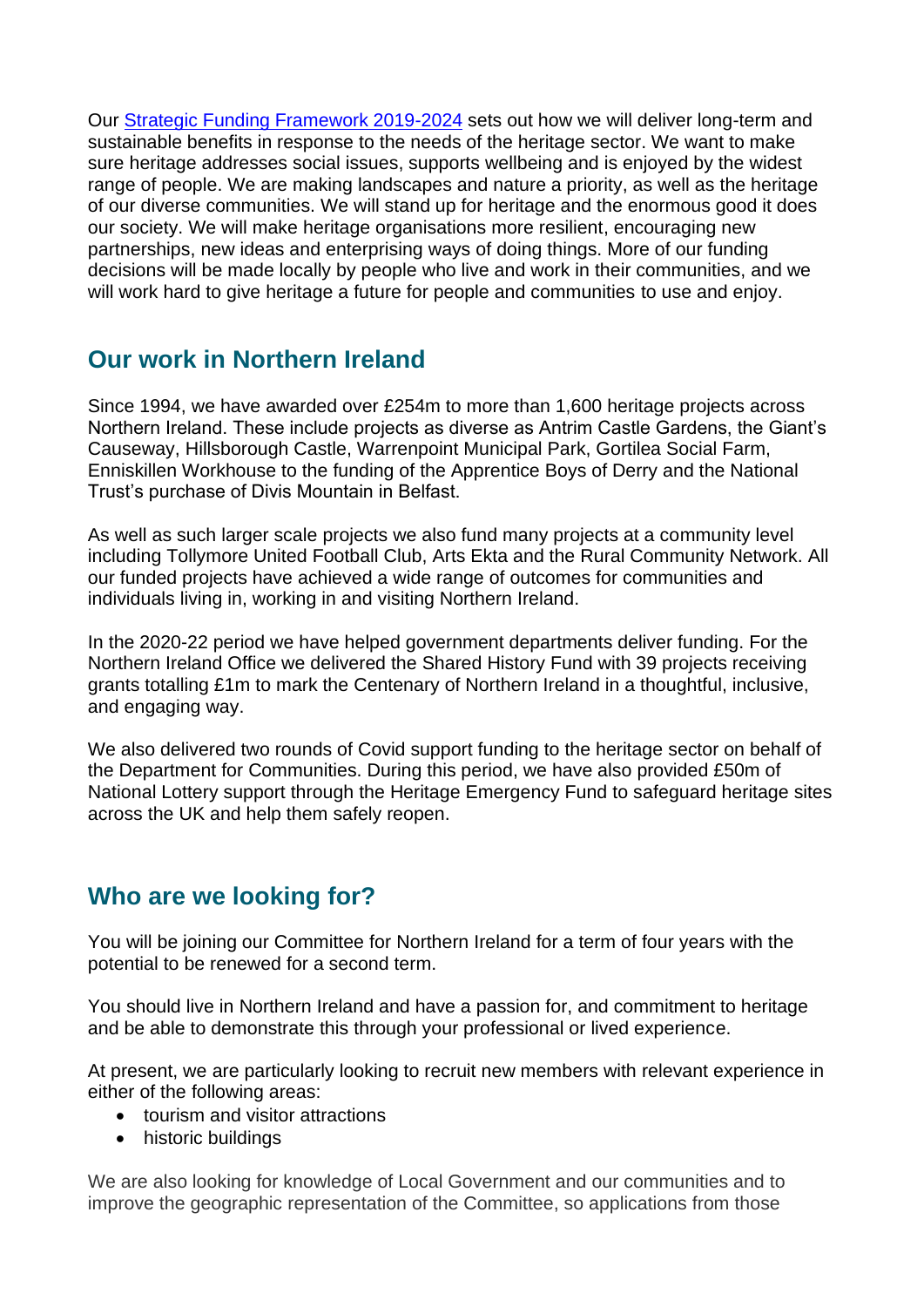Our [Strategic Funding Framework 2019-2024](https://www.heritagefund.org.uk/about/strategic-funding-framework-2019-2024) sets out how we will deliver long-term and sustainable benefits in response to the needs of the heritage sector. We want to make sure heritage addresses social issues, supports wellbeing and is enjoyed by the widest range of people. We are making landscapes and nature a priority, as well as the heritage of our diverse communities. We will stand up for heritage and the enormous good it does our society. We will make heritage organisations more resilient, encouraging new partnerships, new ideas and enterprising ways of doing things. More of our funding decisions will be made locally by people who live and work in their communities, and we will work hard to give heritage a future for people and communities to use and enjoy.

# **Our work in Northern Ireland**

Since 1994, we have awarded over £254m to more than 1,600 heritage projects across Northern Ireland. These include projects as diverse as Antrim Castle Gardens, the Giant's Causeway, Hillsborough Castle, Warrenpoint Municipal Park, Gortilea Social Farm, Enniskillen Workhouse to the funding of the Apprentice Boys of Derry and the National Trust's purchase of Divis Mountain in Belfast.

As well as such larger scale projects we also fund many projects at a community level including Tollymore United Football Club, Arts Ekta and the Rural Community Network. All our funded projects have achieved a wide range of outcomes for communities and individuals living in, working in and visiting Northern Ireland.

In the 2020-22 period we have helped government departments deliver funding. For the Northern Ireland Office we delivered the Shared History Fund with 39 projects receiving grants totalling £1m to mark the Centenary of Northern Ireland in a thoughtful, inclusive, and engaging way.

We also delivered two rounds of Covid support funding to the heritage sector on behalf of the Department for Communities. During this period, we have also provided £50m of National Lottery support through the Heritage Emergency Fund to safeguard heritage sites across the UK and help them safely reopen.

## **Who are we looking for?**

You will be joining our Committee for Northern Ireland for a term of four years with the potential to be renewed for a second term.

You should live in Northern Ireland and have a passion for, and commitment to heritage and be able to demonstrate this through your professional or lived experience.

At present, we are particularly looking to recruit new members with relevant experience in either of the following areas:

- tourism and visitor attractions
- historic buildings

We are also looking for knowledge of Local Government and our communities and to improve the geographic representation of the Committee, so applications from those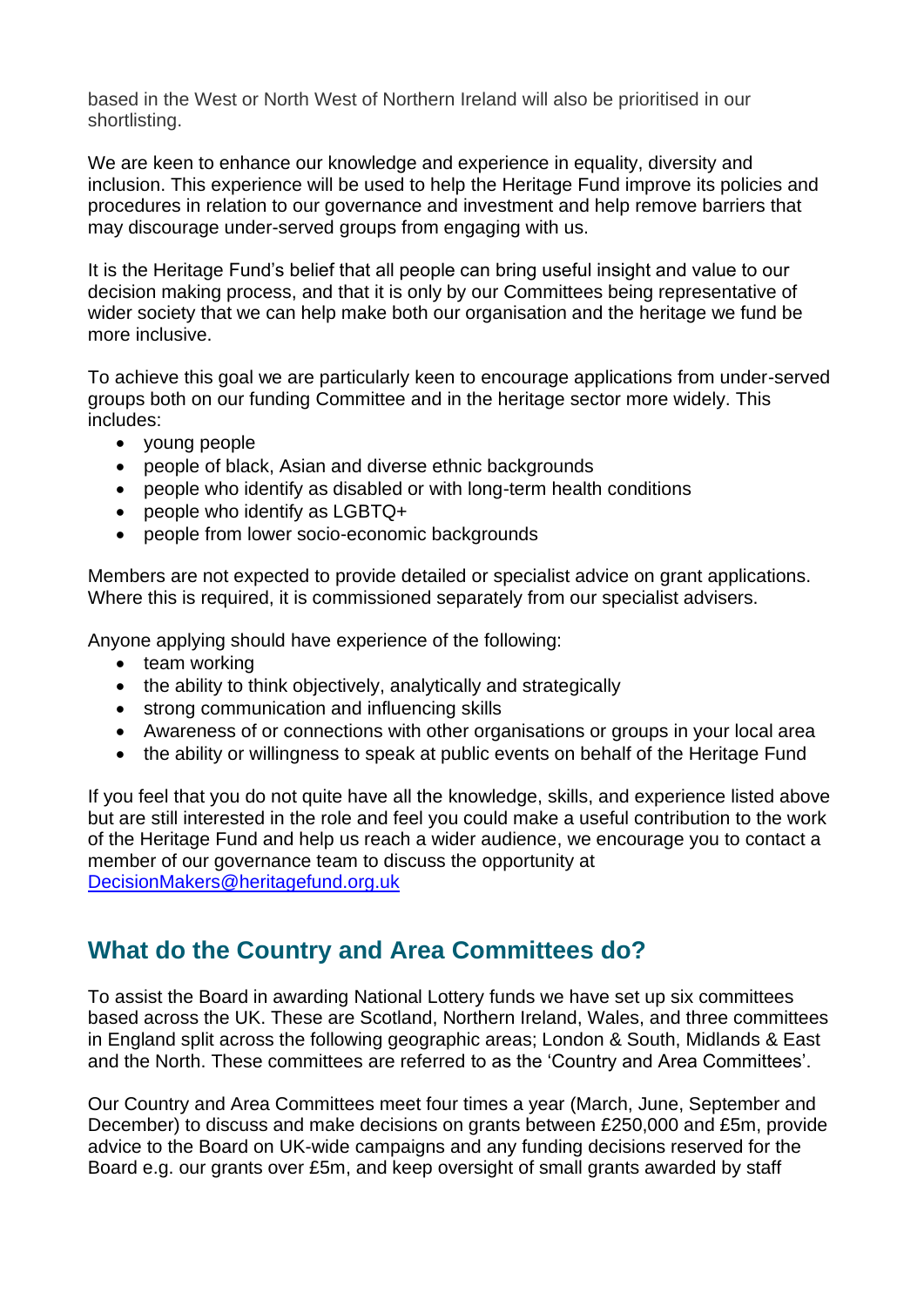based in the West or North West of Northern Ireland will also be prioritised in our shortlisting.

We are keen to enhance our knowledge and experience in equality, diversity and inclusion. This experience will be used to help the Heritage Fund improve its policies and procedures in relation to our governance and investment and help remove barriers that may discourage under-served groups from engaging with us.

It is the Heritage Fund's belief that all people can bring useful insight and value to our decision making process, and that it is only by our Committees being representative of wider society that we can help make both our organisation and the heritage we fund be more inclusive.

To achieve this goal we are particularly keen to encourage applications from under-served groups both on our funding Committee and in the heritage sector more widely. This includes:

- young people
- people of black, Asian and diverse ethnic backgrounds
- people who identify as disabled or with long-term health conditions
- people who identify as LGBTQ+
- people from lower socio-economic backgrounds

Members are not expected to provide detailed or specialist advice on grant applications. Where this is required, it is commissioned separately from our specialist advisers.

Anyone applying should have experience of the following:

- team working
- the ability to think objectively, analytically and strategically
- strong communication and influencing skills
- Awareness of or connections with other organisations or groups in your local area
- the ability or willingness to speak at public events on behalf of the Heritage Fund

If you feel that you do not quite have all the knowledge, skills, and experience listed above but are still interested in the role and feel you could make a useful contribution to the work of the Heritage Fund and help us reach a wider audience, we encourage you to contact a member of our governance team to discuss the opportunity at [DecisionMakers@heritagefund.org.uk](mailto:DecisionMakers@heritagefund.org.uk)

# **What do the Country and Area Committees do?**

To assist the Board in awarding National Lottery funds we have set up six committees based across the UK. These are Scotland, Northern Ireland, Wales, and three committees in England split across the following geographic areas; London & South, Midlands & East and the North. These committees are referred to as the 'Country and Area Committees'.

Our Country and Area Committees meet four times a year (March, June, September and December) to discuss and make decisions on grants between £250,000 and £5m, provide advice to the Board on UK-wide campaigns and any funding decisions reserved for the Board e.g. our grants over £5m, and keep oversight of small grants awarded by staff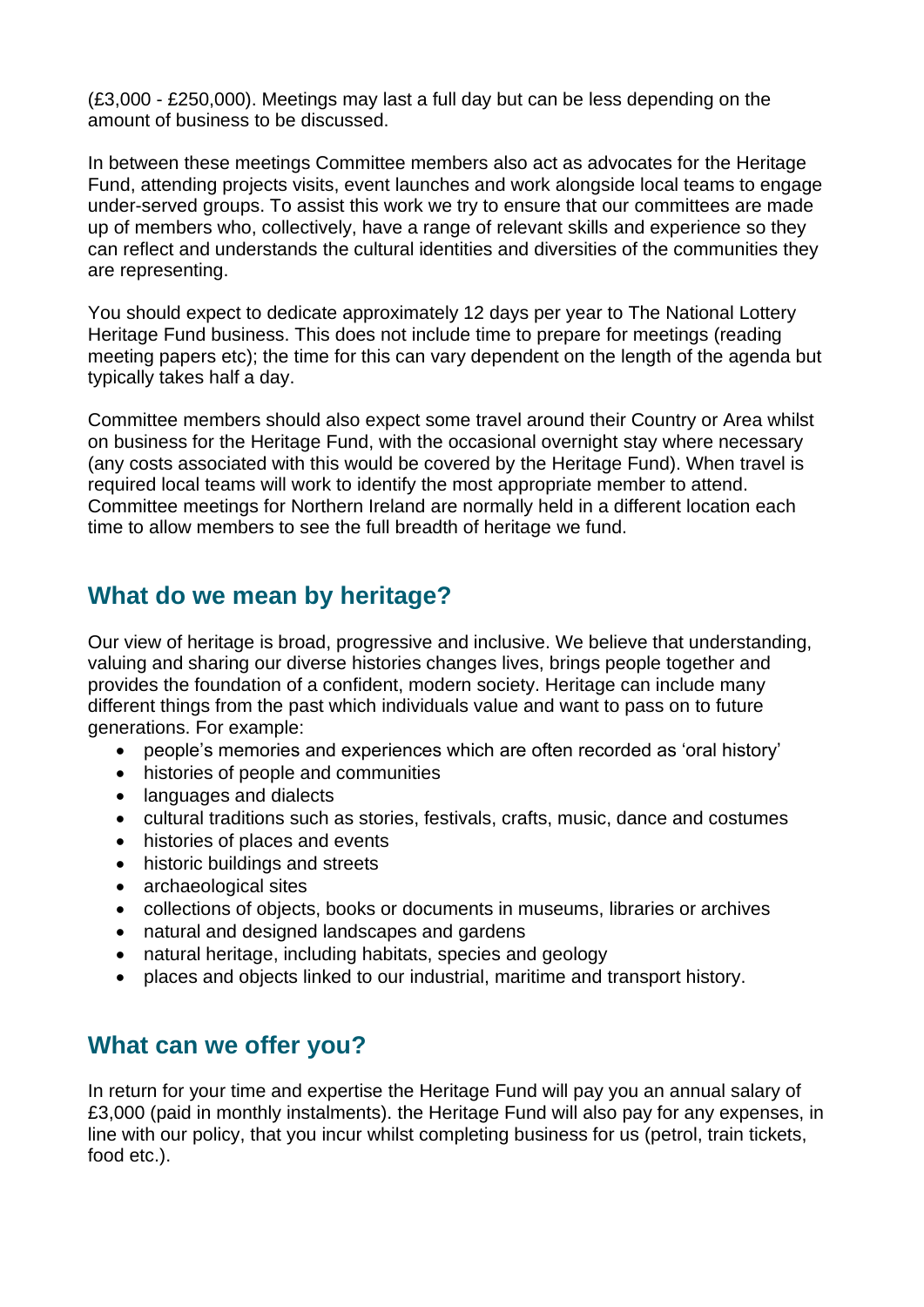(£3,000 - £250,000). Meetings may last a full day but can be less depending on the amount of business to be discussed.

In between these meetings Committee members also act as advocates for the Heritage Fund, attending projects visits, event launches and work alongside local teams to engage under-served groups. To assist this work we try to ensure that our committees are made up of members who, collectively, have a range of relevant skills and experience so they can reflect and understands the cultural identities and diversities of the communities they are representing.

You should expect to dedicate approximately 12 days per year to The National Lottery Heritage Fund business. This does not include time to prepare for meetings (reading meeting papers etc); the time for this can vary dependent on the length of the agenda but typically takes half a day.

Committee members should also expect some travel around their Country or Area whilst on business for the Heritage Fund, with the occasional overnight stay where necessary (any costs associated with this would be covered by the Heritage Fund). When travel is required local teams will work to identify the most appropriate member to attend. Committee meetings for Northern Ireland are normally held in a different location each time to allow members to see the full breadth of heritage we fund.

## **What do we mean by heritage?**

Our view of heritage is broad, progressive and inclusive. We believe that understanding, valuing and sharing our diverse histories changes lives, brings people together and provides the foundation of a confident, modern society. Heritage can include many different things from the past which individuals value and want to pass on to future generations. For example:

- people's memories and experiences which are often recorded as 'oral history'
- histories of people and communities
- languages and dialects
- cultural traditions such as stories, festivals, crafts, music, dance and costumes
- histories of places and events
- historic buildings and streets
- archaeological sites
- collections of objects, books or documents in museums, libraries or archives
- natural and designed landscapes and gardens
- natural heritage, including habitats, species and geology
- places and objects linked to our industrial, maritime and transport history.

## **What can we offer you?**

In return for your time and expertise the Heritage Fund will pay you an annual salary of £3,000 (paid in monthly instalments). the Heritage Fund will also pay for any expenses, in line with our policy, that you incur whilst completing business for us (petrol, train tickets, food etc.).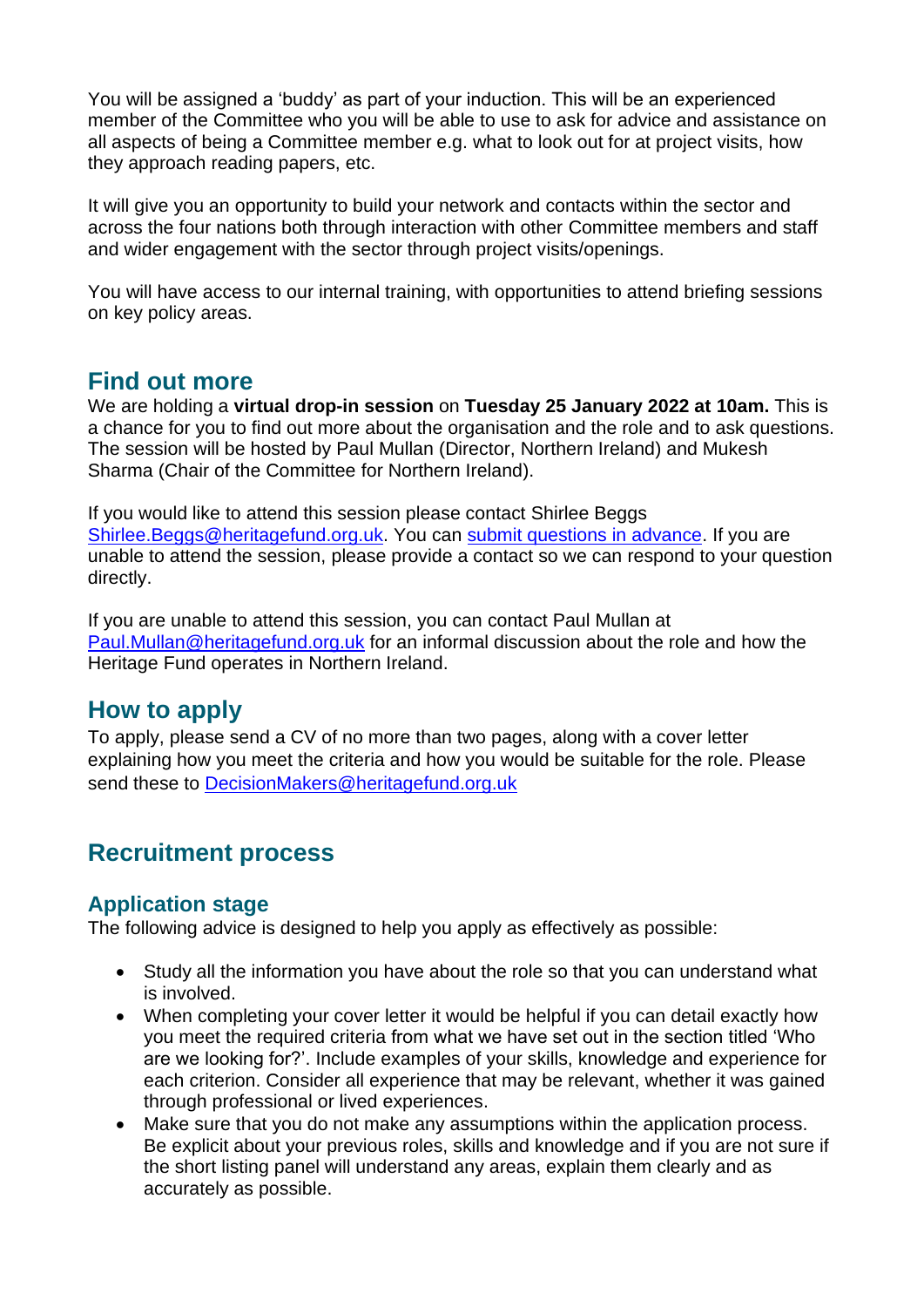You will be assigned a 'buddy' as part of your induction. This will be an experienced member of the Committee who you will be able to use to ask for advice and assistance on all aspects of being a Committee member e.g. what to look out for at project visits, how they approach reading papers, etc.

It will give you an opportunity to build your network and contacts within the sector and across the four nations both through interaction with other Committee members and staff and wider engagement with the sector through project visits/openings.

You will have access to our internal training, with opportunities to attend briefing sessions on key policy areas.

#### **Find out more**

We are holding a **virtual drop-in session** on **Tuesday 25 January 2022 at 10am.** This is a chance for you to find out more about the organisation and the role and to ask questions. The session will be hosted by Paul Mullan (Director, Northern Ireland) and Mukesh Sharma (Chair of the Committee for Northern Ireland).

If you would like to attend this session please contact Shirlee Beggs [Shirlee.Beggs@heritagefund.org.uk.](mailto:Shirlee.Beggs@heritagefund.org.uk) You can [submit questions in advance.](https://forms.office.com/r/i100kfRwWR) If you are unable to attend the session, please provide a contact so we can respond to your question directly.

If you are unable to attend this session, you can contact Paul Mullan at [Paul.Mullan@heritagefund.org.uk](mailto:Paul.Mullan@heritagefund.org.uk) for an informal discussion about the role and how the Heritage Fund operates in Northern Ireland.

#### **How to apply**

To apply, please send a CV of no more than two pages, along with a cover letter explaining how you meet the criteria and how you would be suitable for the role. Please send these to [DecisionMakers@heritagefund.org.uk](mailto:DecisionMakers@heritagefund.org.uk)

## **Recruitment process**

#### **Application stage**

The following advice is designed to help you apply as effectively as possible:

- Study all the information you have about the role so that you can understand what is involved.
- When completing your cover letter it would be helpful if you can detail exactly how you meet the required criteria from what we have set out in the section titled 'Who are we looking for?'. Include examples of your skills, knowledge and experience for each criterion. Consider all experience that may be relevant, whether it was gained through professional or lived experiences.
- Make sure that you do not make any assumptions within the application process. Be explicit about your previous roles, skills and knowledge and if you are not sure if the short listing panel will understand any areas, explain them clearly and as accurately as possible.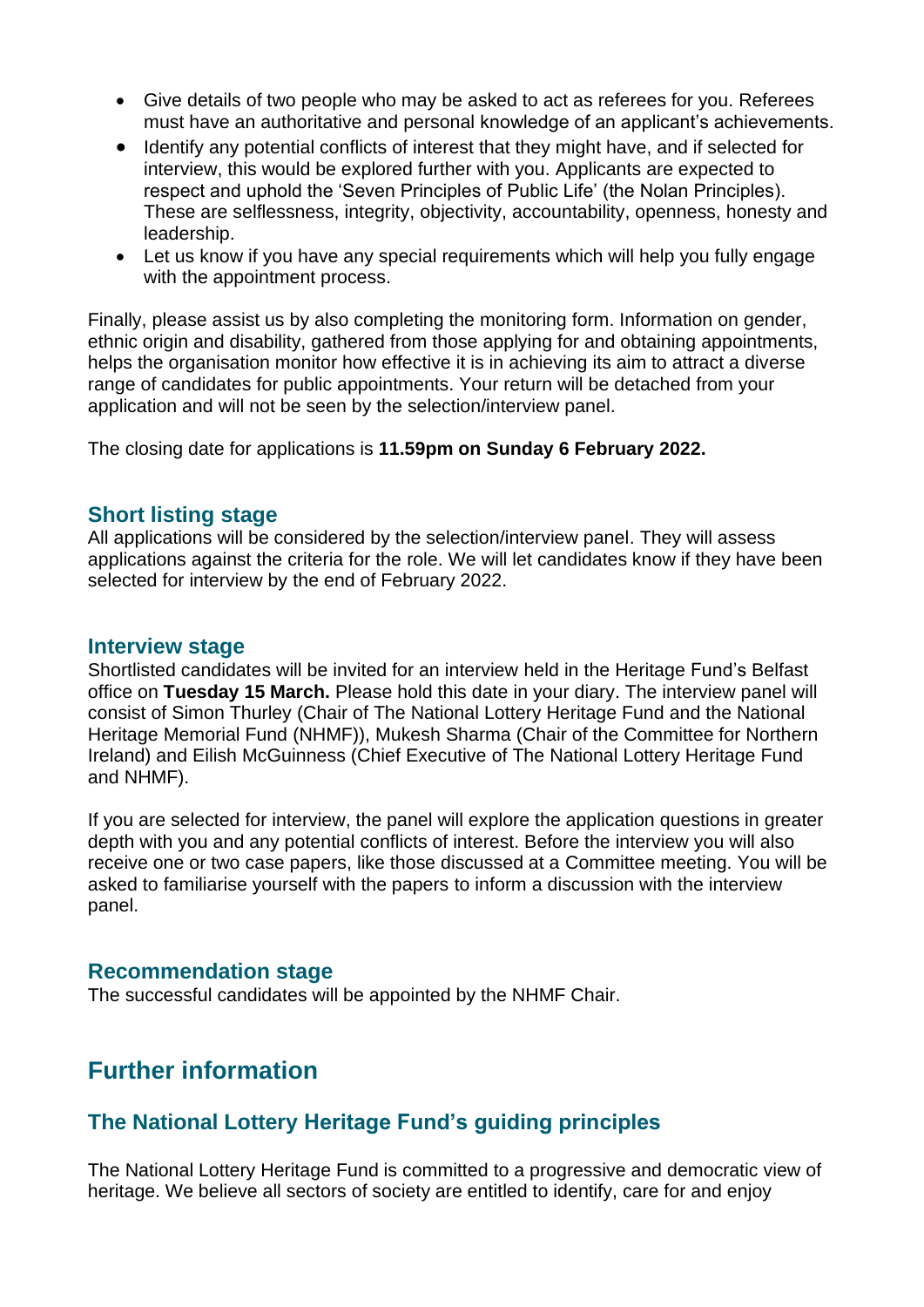- Give details of two people who may be asked to act as referees for you. Referees must have an authoritative and personal knowledge of an applicant's achievements.
- Identify any potential conflicts of interest that they might have, and if selected for interview, this would be explored further with you. Applicants are expected to respect and uphold the 'Seven Principles of Public Life' (the Nolan Principles). These are selflessness, integrity, objectivity, accountability, openness, honesty and leadership.
- Let us know if you have any special requirements which will help you fully engage with the appointment process.

Finally, please assist us by also completing the monitoring form. Information on gender, ethnic origin and disability, gathered from those applying for and obtaining appointments, helps the organisation monitor how effective it is in achieving its aim to attract a diverse range of candidates for public appointments. Your return will be detached from your application and will not be seen by the selection/interview panel.

The closing date for applications is **11.59pm on Sunday 6 February 2022.**

#### **Short listing stage**

All applications will be considered by the selection/interview panel. They will assess applications against the criteria for the role. We will let candidates know if they have been selected for interview by the end of February 2022.

#### **Interview stage**

Shortlisted candidates will be invited for an interview held in the Heritage Fund's Belfast office on **Tuesday 15 March.** Please hold this date in your diary. The interview panel will consist of Simon Thurley (Chair of The National Lottery Heritage Fund and the National Heritage Memorial Fund (NHMF)), Mukesh Sharma (Chair of the Committee for Northern Ireland) and Eilish McGuinness (Chief Executive of The National Lottery Heritage Fund and NHMF).

If you are selected for interview, the panel will explore the application questions in greater depth with you and any potential conflicts of interest. Before the interview you will also receive one or two case papers, like those discussed at a Committee meeting. You will be asked to familiarise yourself with the papers to inform a discussion with the interview panel.

#### **Recommendation stage**

The successful candidates will be appointed by the NHMF Chair.

## **Further information**

#### **The National Lottery Heritage Fund's guiding principles**

The National Lottery Heritage Fund is committed to a progressive and democratic view of heritage. We believe all sectors of society are entitled to identify, care for and enjoy